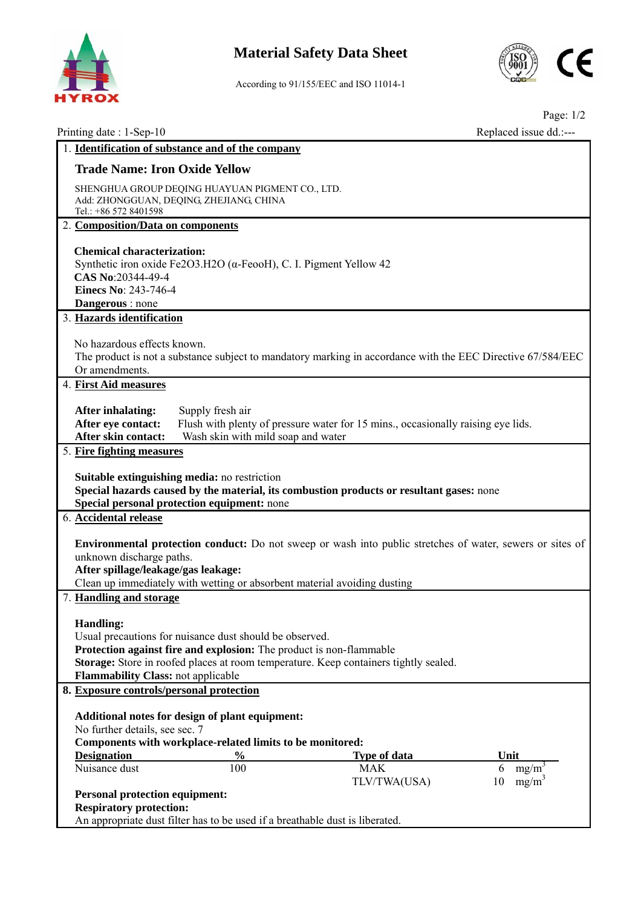

## **Material Safety Data Sheet**



According to 91/155/EEC and ISO 11014-1

| Printing date: 1-Sep-10                                                                                                                                      |                                                                                                                                |                                                                                                                                                                                              | Page: $1/2$<br>Replaced issue dd.:--- |  |  |  |  |
|--------------------------------------------------------------------------------------------------------------------------------------------------------------|--------------------------------------------------------------------------------------------------------------------------------|----------------------------------------------------------------------------------------------------------------------------------------------------------------------------------------------|---------------------------------------|--|--|--|--|
|                                                                                                                                                              | 1. Identification of substance and of the company                                                                              |                                                                                                                                                                                              |                                       |  |  |  |  |
| <b>Trade Name: Iron Oxide Yellow</b>                                                                                                                         |                                                                                                                                |                                                                                                                                                                                              |                                       |  |  |  |  |
| Tel.: +86 572 8401598                                                                                                                                        | SHENGHUA GROUP DEQING HUAYUAN PIGMENT CO., LTD.<br>Add: ZHONGGUAN, DEQING, ZHEJIANG, CHINA                                     |                                                                                                                                                                                              |                                       |  |  |  |  |
| 2. Composition/Data on components                                                                                                                            |                                                                                                                                |                                                                                                                                                                                              |                                       |  |  |  |  |
| <b>Chemical characterization:</b><br>CAS No:20344-49-4<br>Einecs No: 243-746-4<br>Dangerous : none                                                           | Synthetic iron oxide Fe2O3.H2O ( $\alpha$ -FeooH), C. I. Pigment Yellow 42                                                     |                                                                                                                                                                                              |                                       |  |  |  |  |
| 3. Hazards identification                                                                                                                                    |                                                                                                                                |                                                                                                                                                                                              |                                       |  |  |  |  |
| No hazardous effects known.<br>The product is not a substance subject to mandatory marking in accordance with the EEC Directive 67/584/EEC<br>Or amendments. |                                                                                                                                |                                                                                                                                                                                              |                                       |  |  |  |  |
| 4. First Aid measures                                                                                                                                        |                                                                                                                                |                                                                                                                                                                                              |                                       |  |  |  |  |
| <b>After inhalating:</b><br>After eye contact:<br>After skin contact:                                                                                        | Supply fresh air<br>Wash skin with mild soap and water                                                                         | Flush with plenty of pressure water for 15 mins., occasionally raising eye lids.                                                                                                             |                                       |  |  |  |  |
| 5. Fire fighting measures                                                                                                                                    |                                                                                                                                |                                                                                                                                                                                              |                                       |  |  |  |  |
|                                                                                                                                                              | Suitable extinguishing media: no restriction<br>Special personal protection equipment: none                                    | Special hazards caused by the material, its combustion products or resultant gases: none                                                                                                     |                                       |  |  |  |  |
| 6. Accidental release                                                                                                                                        |                                                                                                                                |                                                                                                                                                                                              |                                       |  |  |  |  |
| unknown discharge paths.<br>After spillage/leakage/gas leakage:                                                                                              |                                                                                                                                | <b>Environmental protection conduct:</b> Do not sweep or wash into public stretches of water, sewers or sites of<br>Clean up immediately with wetting or absorbent material avoiding dusting |                                       |  |  |  |  |
| 7. Handling and storage                                                                                                                                      |                                                                                                                                |                                                                                                                                                                                              |                                       |  |  |  |  |
| <b>Handling:</b><br>Flammability Class: not applicable                                                                                                       | Usual precautions for nuisance dust should be observed.<br>Protection against fire and explosion: The product is non-flammable | Storage: Store in roofed places at room temperature. Keep containers tightly sealed.                                                                                                         |                                       |  |  |  |  |
| 8. Exposure controls/personal protection                                                                                                                     |                                                                                                                                |                                                                                                                                                                                              |                                       |  |  |  |  |
| No further details, see sec. 7                                                                                                                               | Additional notes for design of plant equipment:<br>Components with workplace-related limits to be monitored:                   |                                                                                                                                                                                              |                                       |  |  |  |  |
| <b>Designation</b>                                                                                                                                           | $\frac{6}{9}$                                                                                                                  | <b>Type of data</b>                                                                                                                                                                          | Unit                                  |  |  |  |  |
| Nuisance dust                                                                                                                                                | 100                                                                                                                            | <b>MAK</b><br>TLV/TWA(USA)                                                                                                                                                                   | 6<br>mg/m<br>$mg/m^3$<br>10           |  |  |  |  |
| <b>Personal protection equipment:</b><br><b>Respiratory protection:</b>                                                                                      | An appropriate dust filter has to be used if a breathable dust is liberated.                                                   |                                                                                                                                                                                              |                                       |  |  |  |  |